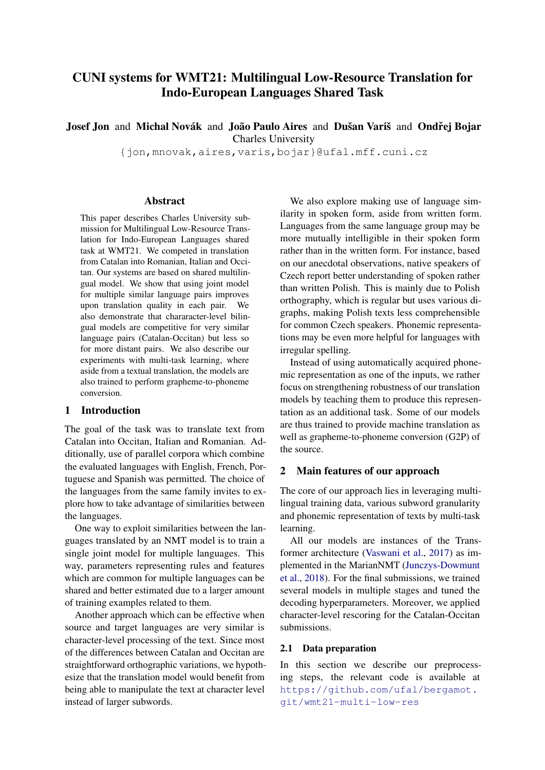# CUNI systems for WMT21: Multilingual Low-Resource Translation for Indo-European Languages Shared Task

Josef Jon and Michal Novák and João Paulo Aires and Dušan Variš and Ondřej Bojar Charles University

{jon,mnovak,aires,varis,bojar}@ufal.mff.cuni.cz

#### Abstract

This paper describes Charles University submission for Multilingual Low-Resource Translation for Indo-European Languages shared task at WMT21. We competed in translation from Catalan into Romanian, Italian and Occitan. Our systems are based on shared multilingual model. We show that using joint model for multiple similar language pairs improves upon translation quality in each pair. We also demonstrate that chararacter-level bilingual models are competitive for very similar language pairs (Catalan-Occitan) but less so for more distant pairs. We also describe our experiments with multi-task learning, where aside from a textual translation, the models are also trained to perform grapheme-to-phoneme conversion.

#### 1 Introduction

The goal of the task was to translate text from Catalan into Occitan, Italian and Romanian. Additionally, use of parallel corpora which combine the evaluated languages with English, French, Portuguese and Spanish was permitted. The choice of the languages from the same family invites to explore how to take advantage of similarities between the languages.

One way to exploit similarities between the languages translated by an NMT model is to train a single joint model for multiple languages. This way, parameters representing rules and features which are common for multiple languages can be shared and better estimated due to a larger amount of training examples related to them.

Another approach which can be effective when source and target languages are very similar is character-level processing of the text. Since most of the differences between Catalan and Occitan are straightforward orthographic variations, we hypothesize that the translation model would benefit from being able to manipulate the text at character level instead of larger subwords.

We also explore making use of language similarity in spoken form, aside from written form. Languages from the same language group may be more mutually intelligible in their spoken form rather than in the written form. For instance, based on our anecdotal observations, native speakers of Czech report better understanding of spoken rather than written Polish. This is mainly due to Polish orthography, which is regular but uses various digraphs, making Polish texts less comprehensible for common Czech speakers. Phonemic representations may be even more helpful for languages with irregular spelling.

Instead of using automatically acquired phonemic representation as one of the inputs, we rather focus on strengthening robustness of our translation models by teaching them to produce this representation as an additional task. Some of our models are thus trained to provide machine translation as well as grapheme-to-phoneme conversion (G2P) of the source.

#### 2 Main features of our approach

The core of our approach lies in leveraging multilingual training data, various subword granularity and phonemic representation of texts by multi-task learning.

All our models are instances of the Transformer architecture [\(Vaswani et al.,](#page-7-0) [2017\)](#page-7-0) as implemented in the MarianNMT [\(Junczys-Dowmunt](#page-7-1) [et al.,](#page-7-1) [2018\)](#page-7-1). For the final submissions, we trained several models in multiple stages and tuned the decoding hyperparameters. Moreover, we applied character-level rescoring for the Catalan-Occitan submissions.

## <span id="page-0-0"></span>2.1 Data preparation

In this section we describe our preprocessing steps, the relevant code is available at [https://github.com/ufal/bergamot.](https://github.com/ufal/bergamot.git/wmt21-multi-low-res) [git/wmt21-multi-low-res](https://github.com/ufal/bergamot.git/wmt21-multi-low-res)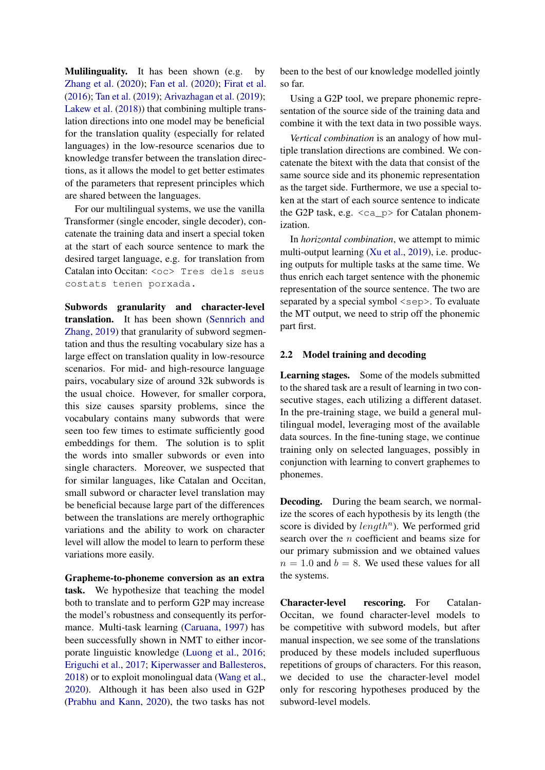Mulilinguality. It has been shown (e.g. by [Zhang et al.](#page-7-2) [\(2020\)](#page-7-2); [Fan et al.](#page-6-0) [\(2020\)](#page-6-0); [Firat et al.](#page-6-1) [\(2016\)](#page-6-1); [Tan et al.](#page-7-3) [\(2019\)](#page-7-3); [Arivazhagan et al.](#page-6-2) [\(2019\)](#page-6-2); [Lakew et al.](#page-7-4) [\(2018\)](#page-7-4)) that combining multiple translation directions into one model may be beneficial for the translation quality (especially for related languages) in the low-resource scenarios due to knowledge transfer between the translation directions, as it allows the model to get better estimates of the parameters that represent principles which are shared between the languages.

For our multilingual systems, we use the vanilla Transformer (single encoder, single decoder), concatenate the training data and insert a special token at the start of each source sentence to mark the desired target language, e.g. for translation from Catalan into Occitan: <oc> Tres dels seus costats tenen porxada.

Subwords granularity and character-level translation. It has been shown [\(Sennrich and](#page-7-5) [Zhang,](#page-7-5) [2019\)](#page-7-5) that granularity of subword segmentation and thus the resulting vocabulary size has a large effect on translation quality in low-resource scenarios. For mid- and high-resource language pairs, vocabulary size of around 32k subwords is the usual choice. However, for smaller corpora, this size causes sparsity problems, since the vocabulary contains many subwords that were seen too few times to estimate sufficiently good embeddings for them. The solution is to split the words into smaller subwords or even into single characters. Moreover, we suspected that for similar languages, like Catalan and Occitan, small subword or character level translation may be beneficial because large part of the differences between the translations are merely orthographic variations and the ability to work on character level will allow the model to learn to perform these variations more easily.

Grapheme-to-phoneme conversion as an extra task. We hypothesize that teaching the model both to translate and to perform G2P may increase the model's robustness and consequently its performance. Multi-task learning [\(Caruana,](#page-6-3) [1997\)](#page-6-3) has been successfully shown in NMT to either incorporate linguistic knowledge [\(Luong et al.,](#page-7-6) [2016;](#page-7-6) [Eriguchi et al.,](#page-6-4) [2017;](#page-6-4) [Kiperwasser and Ballesteros,](#page-7-7) [2018\)](#page-7-7) or to exploit monolingual data [\(Wang et al.,](#page-7-8) [2020\)](#page-7-8). Although it has been also used in G2P [\(Prabhu and Kann,](#page-7-9) [2020\)](#page-7-9), the two tasks has not

been to the best of our knowledge modelled jointly so far.

Using a G2P tool, we prepare phonemic representation of the source side of the training data and combine it with the text data in two possible ways.

*Vertical combination* is an analogy of how multiple translation directions are combined. We concatenate the bitext with the data that consist of the same source side and its phonemic representation as the target side. Furthermore, we use a special token at the start of each source sentence to indicate the G2P task, e.g.  $\langle ca \rangle$  for Catalan phonemization.

In *horizontal combination*, we attempt to mimic multi-output learning [\(Xu et al.,](#page-7-10) [2019\)](#page-7-10), i.e. producing outputs for multiple tasks at the same time. We thus enrich each target sentence with the phonemic representation of the source sentence. The two are separated by a special symbol  $\langle$ sep $\rangle$ . To evaluate the MT output, we need to strip off the phonemic part first.

### 2.2 Model training and decoding

Learning stages. Some of the models submitted to the shared task are a result of learning in two consecutive stages, each utilizing a different dataset. In the pre-training stage, we build a general multilingual model, leveraging most of the available data sources. In the fine-tuning stage, we continue training only on selected languages, possibly in conjunction with learning to convert graphemes to phonemes.

Decoding. During the beam search, we normalize the scores of each hypothesis by its length (the score is divided by  $length<sup>n</sup>$ ). We performed grid search over the n coefficient and beams size for our primary submission and we obtained values  $n = 1.0$  and  $b = 8$ . We used these values for all the systems.

Character-level rescoring. For Catalan-Occitan, we found character-level models to be competitive with subword models, but after manual inspection, we see some of the translations produced by these models included superfluous repetitions of groups of characters. For this reason, we decided to use the character-level model only for rescoring hypotheses produced by the subword-level models.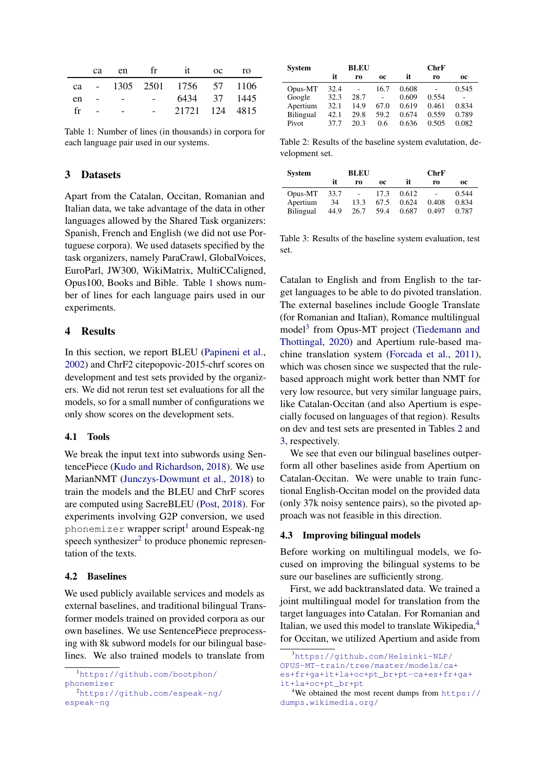<span id="page-2-0"></span>

|    |  |                   | ca en frit oc ro            |  |
|----|--|-------------------|-----------------------------|--|
|    |  |                   | ca - 1305 2501 1756 57 1106 |  |
| en |  | $\sim$ 100 $\sim$ | 6434 37 1445                |  |
| fr |  |                   | 21721 124 4815              |  |

Table 1: Number of lines (in thousands) in corpora for each language pair used in our systems.

## 3 Datasets

Apart from the Catalan, Occitan, Romanian and Italian data, we take advantage of the data in other languages allowed by the Shared Task organizers: Spanish, French and English (we did not use Portuguese corpora). We used datasets specified by the task organizers, namely ParaCrawl, GlobalVoices, EuroParl, JW300, WikiMatrix, MultiCCaligned, Opus100, Books and Bible. Table [1](#page-2-0) shows number of lines for each language pairs used in our experiments.

### 4 Results

In this section, we report BLEU [\(Papineni et al.,](#page-7-11) [2002\)](#page-7-11) and ChrF2 citepopovic-2015-chrf scores on development and test sets provided by the organizers. We did not rerun test set evaluations for all the models, so for a small number of configurations we only show scores on the development sets.

#### 4.1 Tools

We break the input text into subwords using SentencePiece [\(Kudo and Richardson,](#page-7-12) [2018\)](#page-7-12). We use MarianNMT [\(Junczys-Dowmunt et al.,](#page-7-1) [2018\)](#page-7-1) to train the models and the BLEU and ChrF scores are computed using SacreBLEU [\(Post,](#page-7-13) [2018\)](#page-7-13). For experiments involving G2P conversion, we used phonemizer <mark>wrapper script<sup>[1](#page-2-1)</sup> around Espeak-ng</mark> speech synthesizer $2$  to produce phonemic representation of the texts.

### 4.2 Baselines

We used publicly available services and models as external baselines, and traditional bilingual Transformer models trained on provided corpora as our own baselines. We use SentencePiece preprocessing with 8k subword models for our bilingual baselines. We also trained models to translate from

<span id="page-2-2"></span>[espeak-ng](https://github.com/espeak-ng/espeak-ng)

<span id="page-2-4"></span>

| <b>System</b> | <b>BLEU</b> |                |      | ChrF  |       |       |  |  |
|---------------|-------------|----------------|------|-------|-------|-------|--|--|
|               | it          | r0             | 0C   | it    | r0    | 0C    |  |  |
| Opus-MT       | 32.4        | $\overline{a}$ | 16.7 | 0.608 |       | 0.545 |  |  |
| Google        | 32.3        | 28.7           | ä,   | 0.609 | 0.554 |       |  |  |
| Apertium      | 32.1        | 14.9           | 67.0 | 0.619 | 0.461 | 0.834 |  |  |
| Bilingual     | 42.1        | 29.8           | 59.2 | 0.674 | 0.559 | 0.789 |  |  |
| Pivot         | 37.7        | 20.3           | 0.6  | 0.636 | 0.505 | 0.082 |  |  |

Table 2: Results of the baseline system evalutation, development set.

<span id="page-2-5"></span>

| <b>System</b>                           |                    | <b>BLEU</b>                              |                      |                         | ChrF           |                         |
|-----------------------------------------|--------------------|------------------------------------------|----------------------|-------------------------|----------------|-------------------------|
|                                         | it                 | ro                                       | 0C                   | it                      | r0             | oc                      |
| Opus-MT<br>Apertium<br><b>Bilingual</b> | 33.7<br>34<br>44.9 | $\overline{\phantom{a}}$<br>13.3<br>26.7 | 17.3<br>67.5<br>59.4 | 0.612<br>0.624<br>0.687 | 0.408<br>0.497 | 0.544<br>0.834<br>0.787 |

Table 3: Results of the baseline system evaluation, test set.

Catalan to English and from English to the target languages to be able to do pivoted translation. The external baselines include Google Translate (for Romanian and Italian), Romance multilingual model<sup>[3](#page-2-3)</sup> from Opus-MT project [\(Tiedemann and](#page-7-14) [Thottingal,](#page-7-14) [2020\)](#page-7-14) and Apertium rule-based machine translation system [\(Forcada et al.,](#page-7-15) [2011\)](#page-7-15), which was chosen since we suspected that the rulebased approach might work better than NMT for very low resource, but very similar language pairs, like Catalan-Occitan (and also Apertium is especially focused on languages of that region). Results on dev and test sets are presented in Tables [2](#page-2-4) and [3,](#page-2-5) respectively.

We see that even our bilingual baselines outperform all other baselines aside from Apertium on Catalan-Occitan. We were unable to train functional English-Occitan model on the provided data (only 37k noisy sentence pairs), so the pivoted approach was not feasible in this direction.

#### 4.3 Improving bilingual models

Before working on multilingual models, we focused on improving the bilingual systems to be sure our baselines are sufficiently strong.

First, we add backtranslated data. We trained a joint multilingual model for translation from the target languages into Catalan. For Romanian and Italian, we used this model to translate Wikipedia,<sup>[4](#page-2-6)</sup> for Occitan, we utilized Apertium and aside from

<span id="page-2-1"></span><sup>1</sup>[https://github.com/bootphon/](https://github.com/bootphon/phonemizer) [phonemizer](https://github.com/bootphon/phonemizer) <sup>2</sup>[https://github.com/espeak-ng/](https://github.com/espeak-ng/espeak-ng)

<span id="page-2-3"></span><sup>3</sup>[https://github.com/Helsinki-NLP/](https://github.com/Helsinki-NLP/OPUS-MT-train/tree/master/models/ca+es+fr+ga+it+la+oc+pt_br+pt-ca+es+fr+ga+it+la+oc+pt_br+pt) [OPUS-MT-train/tree/master/models/ca+](https://github.com/Helsinki-NLP/OPUS-MT-train/tree/master/models/ca+es+fr+ga+it+la+oc+pt_br+pt-ca+es+fr+ga+it+la+oc+pt_br+pt) [es+fr+ga+it+la+oc+pt\\_br+pt-ca+es+fr+ga+](https://github.com/Helsinki-NLP/OPUS-MT-train/tree/master/models/ca+es+fr+ga+it+la+oc+pt_br+pt-ca+es+fr+ga+it+la+oc+pt_br+pt) [it+la+oc+pt\\_br+pt](https://github.com/Helsinki-NLP/OPUS-MT-train/tree/master/models/ca+es+fr+ga+it+la+oc+pt_br+pt-ca+es+fr+ga+it+la+oc+pt_br+pt)

<span id="page-2-6"></span><sup>&</sup>lt;sup>4</sup>We obtained the most recent dumps from  $https://$ [dumps.wikimedia.org/](https://dumps.wikimedia.org/)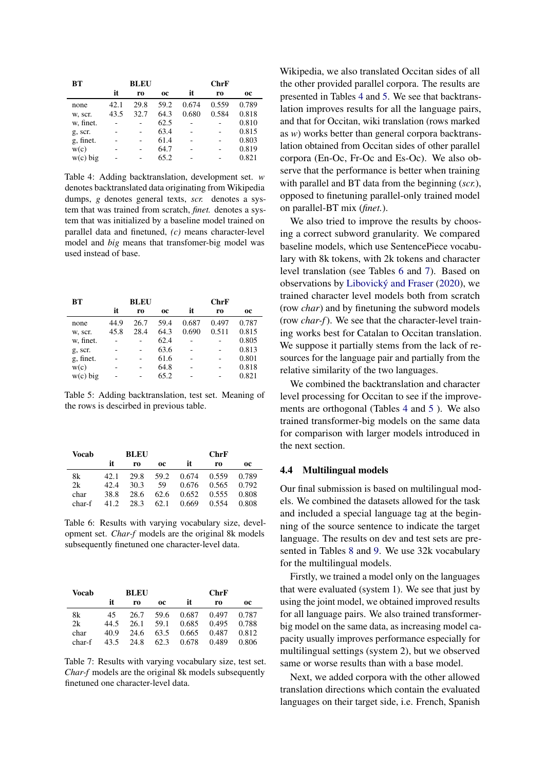<span id="page-3-0"></span>

| BТ         | <b>BLEU</b> |      |           | ChrF  |       |       |  |  |
|------------|-------------|------|-----------|-------|-------|-------|--|--|
|            | it          | ro   | <b>OC</b> | it    | r0    | 0C    |  |  |
| none       | 42.1        | 29.8 | 59.2      | 0.674 | 0.559 | 0.789 |  |  |
| w, scr.    | 43.5        | 32.7 | 64.3      | 0.680 | 0.584 | 0.818 |  |  |
| w, finet.  |             |      | 62.5      |       |       | 0.810 |  |  |
| g, scr.    |             |      | 63.4      |       |       | 0.815 |  |  |
| g, finet.  |             |      | 61.4      |       |       | 0.803 |  |  |
| w(c)       |             |      | 64.7      |       |       | 0.819 |  |  |
| $w(c)$ big |             |      | 65.2      |       |       | 0.821 |  |  |

Table 4: Adding backtranslation, development set. *w* denotes backtranslated data originating from Wikipedia dumps, *g* denotes general texts, *scr.* denotes a system that was trained from scratch, *finet.* denotes a system that was initialized by a baseline model trained on parallel data and finetuned, *(c)* means character-level model and *big* means that transfomer-big model was used instead of base.

<span id="page-3-1"></span>

| BT         | <b>BLEU</b> |      |           | ChrF  |       |           |  |  |
|------------|-------------|------|-----------|-------|-------|-----------|--|--|
|            | it          | r0   | <b>OC</b> | it    | r0    | <b>OC</b> |  |  |
| none       | 44.9        | 26.7 | 59.4      | 0.687 | 0.497 | 0.787     |  |  |
| w, scr.    | 45.8        | 28.4 | 64.3      | 0.690 | 0.511 | 0.815     |  |  |
| w, finet.  |             |      | 62.4      |       |       | 0.805     |  |  |
| g, scr.    |             |      | 63.6      |       |       | 0.813     |  |  |
| g, finet.  |             |      | 61.6      |       |       | 0.801     |  |  |
| w(c)       |             |      | 64.8      |       |       | 0.818     |  |  |
| $w(c)$ big |             |      | 65.2      |       |       | 0.821     |  |  |

Table 5: Adding backtranslation, test set. Meaning of the rows is descirbed in previous table.

<span id="page-3-2"></span>

| Vocab  | <b>BLEU</b> |      |      | ChrF  |       |           |  |
|--------|-------------|------|------|-------|-------|-----------|--|
|        | it          | r0   | 0C   | it    | r0    | <b>OC</b> |  |
| 8k     | 42.1        | 29.8 | 59.2 | 0.674 | 0.559 | 0.789     |  |
| 2k     | 42.4        | 30.3 | 59   | 0.676 | 0.565 | 0.792     |  |
| char   | 38.8        | 28.6 | 62.6 | 0.652 | 0.555 | 0.808     |  |
| char-f | 41 Z        | 28.3 | 62.1 | 0.669 | 0.554 | 0.808     |  |

Table 6: Results with varying vocabulary size, development set. *Char-f* models are the original 8k models subsequently finetuned one character-level data.

<span id="page-3-3"></span>

| Vocab  | <b>BLEU</b> |      |      | ChrF  |       |       |  |
|--------|-------------|------|------|-------|-------|-------|--|
|        | it          | ro   | 0C   | it    | r0    | 0C    |  |
| 8k     | 45          | 26.7 | 59.6 | 0.687 | 0.497 | 0.787 |  |
| 2k     | 44.5        | 26.1 | 59.1 | 0.685 | 0.495 | 0.788 |  |
| char   | 40.9        | 24.6 | 63.5 | 0.665 | 0.487 | 0.812 |  |
| char-f | 43.5        | 24.8 | 62.3 | 0.678 | 0.489 | 0.806 |  |

Table 7: Results with varying vocabulary size, test set. *Char-f* models are the original 8k models subsequently finetuned one character-level data.

Wikipedia, we also translated Occitan sides of all the other provided parallel corpora. The results are presented in Tables [4](#page-3-0) and [5.](#page-3-1) We see that backtranslation improves results for all the language pairs, and that for Occitan, wiki translation (rows marked as *w*) works better than general corpora backtranslation obtained from Occitan sides of other parallel corpora (En-Oc, Fr-Oc and Es-Oc). We also observe that the performance is better when training with parallel and BT data from the beginning (*scr.*), opposed to finetuning parallel-only trained model on parallel-BT mix (*finet.*).

We also tried to improve the results by choosing a correct subword granularity. We compared baseline models, which use SentencePiece vocabulary with 8k tokens, with 2k tokens and character level translation (see Tables [6](#page-3-2) and [7\)](#page-3-3). Based on observations by [Libovický and Fraser](#page-7-16) [\(2020\)](#page-7-16), we trained character level models both from scratch (row *char*) and by finetuning the subword models (row *char-f*). We see that the character-level training works best for Catalan to Occitan translation. We suppose it partially stems from the lack of resources for the language pair and partially from the relative similarity of the two languages.

We combined the backtranslation and character level processing for Occitan to see if the improvements are orthogonal (Tables [4](#page-3-0) and [5](#page-3-1) ). We also trained transformer-big models on the same data for comparison with larger models introduced in the next section.

## 4.4 Multilingual models

Our final submission is based on multilingual models. We combined the datasets allowed for the task and included a special language tag at the beginning of the source sentence to indicate the target language. The results on dev and test sets are presented in Tables [8](#page-4-0) and [9.](#page-4-1) We use 32k vocabulary for the multilingual models.

Firstly, we trained a model only on the languages that were evaluated (system 1). We see that just by using the joint model, we obtained improved results for all language pairs. We also trained transformerbig model on the same data, as increasing model capacity usually improves performance especially for multilingual settings (system 2), but we observed same or worse results than with a base model.

Next, we added corpora with the other allowed translation directions which contain the evaluated languages on their target side, i.e. French, Spanish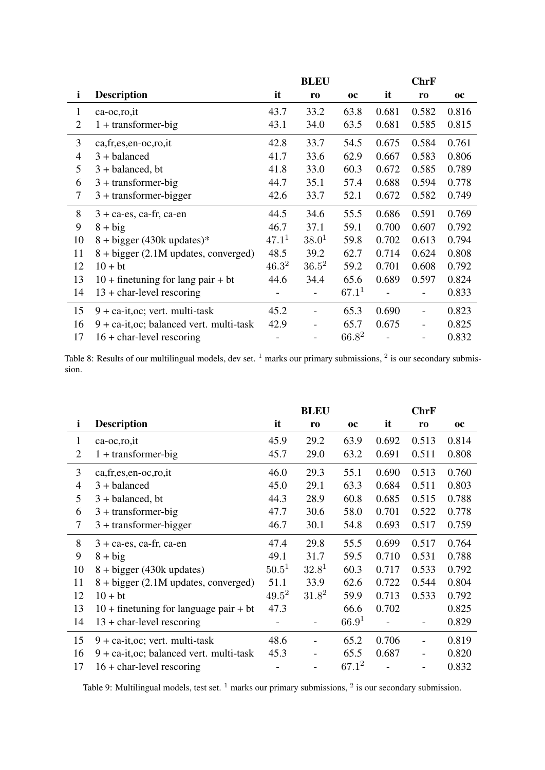<span id="page-4-0"></span>

|                |                                             |                   | <b>BLEU</b>       |            |       | <b>ChrF</b>              |           |
|----------------|---------------------------------------------|-------------------|-------------------|------------|-------|--------------------------|-----------|
| $\mathbf{i}$   | <b>Description</b>                          | it                | r <sub>0</sub>    | <b>OC</b>  | it    | r <sub>0</sub>           | <b>OC</b> |
| $\mathbf{1}$   | $ca-oc, ro, it$                             | 43.7              | 33.2              | 63.8       | 0.681 | 0.582                    | 0.816     |
| 2              | $1 +$ transformer-big                       | 43.1              | 34.0              | 63.5       | 0.681 | 0.585                    | 0.815     |
| 3              | ca,fr,es,en-oc,ro,it                        | 42.8              | 33.7              | 54.5       | 0.675 | 0.584                    | 0.761     |
| $\overline{4}$ | $3 + balanced$                              | 41.7              | 33.6              | 62.9       | 0.667 | 0.583                    | 0.806     |
| 5              | $3 + balanced$ , bt                         | 41.8              | 33.0              | 60.3       | 0.672 | 0.585                    | 0.789     |
| 6              | $3 +$ transformer-big                       | 44.7              | 35.1              | 57.4       | 0.688 | 0.594                    | 0.778     |
| 7              | $3 +$ transformer-bigger                    | 42.6              | 33.7              | 52.1       | 0.672 | 0.582                    | 0.749     |
| 8              | $3 + ca$ -es, ca-fr, ca-en                  | 44.5              | 34.6              | 55.5       | 0.686 | 0.591                    | 0.769     |
| 9              | $8 + big$                                   | 46.7              | 37.1              | 59.1       | 0.700 | 0.607                    | 0.792     |
| 10             | $8 + bigger (430k updates)*$                | 47.1 <sup>1</sup> | 38.0 <sup>1</sup> | 59.8       | 0.702 | 0.613                    | 0.794     |
| 11             | 8 + bigger (2.1M updates, converged)        | 48.5              | 39.2              | 62.7       | 0.714 | 0.624                    | 0.808     |
| 12             | $10 + bt$                                   | $46.3^2$          | $36.5^2$          | 59.2       | 0.701 | 0.608                    | 0.792     |
| 13             | $10 +$ finetuning for lang pair + bt        | 44.6              | 34.4              | 65.6       | 0.689 | 0.597                    | 0.824     |
| 14             | $13 +$ char-level rescoring                 |                   |                   | $67.1^{1}$ |       |                          | 0.833     |
| 15             | $9 + ca-it, oc$ ; vert. multi-task          | 45.2              | $\blacksquare$    | 65.3       | 0.690 | $\overline{a}$           | 0.823     |
| 16             | $9 + ca-it, oc$ ; balanced vert. multi-task | 42.9              |                   | 65.7       | 0.675 | $\overline{\phantom{0}}$ | 0.825     |
| 17             | $16 +$ char-level rescoring                 |                   |                   | $66.8^2$   |       | -                        | 0.832     |

Table 8: Results of our multilingual models, dev set.  $1$  marks our primary submissions,  $2$  is our secondary submission.

<span id="page-4-1"></span>

|                |                                             |            | <b>BLEU</b> |                   |       | <b>ChrF</b>    |           |
|----------------|---------------------------------------------|------------|-------------|-------------------|-------|----------------|-----------|
| $\mathbf{i}$   | <b>Description</b>                          | it         | ro          | <b>OC</b>         | it    | r <sub>0</sub> | <b>OC</b> |
| $\mathbf{1}$   | ca-oc, ro, it                               | 45.9       | 29.2        | 63.9              | 0.692 | 0.513          | 0.814     |
| $\overline{2}$ | $1 +$ transformer-big                       | 45.7       | 29.0        | 63.2              | 0.691 | 0.511          | 0.808     |
| 3              | ca, fr, es, en-oc, ro, it                   | 46.0       | 29.3        | 55.1              | 0.690 | 0.513          | 0.760     |
| $\overline{4}$ | $3 + balanced$                              | 45.0       | 29.1        | 63.3              | 0.684 | 0.511          | 0.803     |
| 5              | $3 + \text{balanced}, \text{bt}$            | 44.3       | 28.9        | 60.8              | 0.685 | 0.515          | 0.788     |
| 6              | $3 +$ transformer-big                       | 47.7       | 30.6        | 58.0              | 0.701 | 0.522          | 0.778     |
| $\tau$         | $3 +$ transformer-bigger                    | 46.7       | 30.1        | 54.8              | 0.693 | 0.517          | 0.759     |
| 8              | $3 + ca$ -es, ca-fr, ca-en                  | 47.4       | 29.8        | 55.5              | 0.699 | 0.517          | 0.764     |
| 9              | $8 + big$                                   | 49.1       | 31.7        | 59.5              | 0.710 | 0.531          | 0.788     |
| 10             | $8 + bigger (430k updates)$                 | $50.5^{1}$ | $32.8^{1}$  | 60.3              | 0.717 | 0.533          | 0.792     |
| 11             | 8 + bigger (2.1M updates, converged)        | 51.1       | 33.9        | 62.6              | 0.722 | 0.544          | 0.804     |
| 12             | $10 + bt$                                   | $49.5^2$   | $31.8^2$    | 59.9              | 0.713 | 0.533          | 0.792     |
| 13             | $10 +$ finetuning for language pair + bt    | 47.3       |             | 66.6              | 0.702 |                | 0.825     |
| 14             | $13 +$ char-level rescoring                 |            |             | 66.9 <sup>1</sup> |       |                | 0.829     |
| 15             | $9 + ca-it, oc$ ; vert. multi-task          | 48.6       |             | 65.2              | 0.706 |                | 0.819     |
| 16             | $9 + ca-it, oc$ ; balanced vert. multi-task | 45.3       |             | 65.5              | 0.687 |                | 0.820     |
| 17             | $16 +$ char-level rescoring                 |            |             | $67.1^2$          |       |                | 0.832     |

Table 9: Multilingual models, test set.  $<sup>1</sup>$  marks our primary submissions,  $<sup>2</sup>$  is our secondary submission.</sup></sup>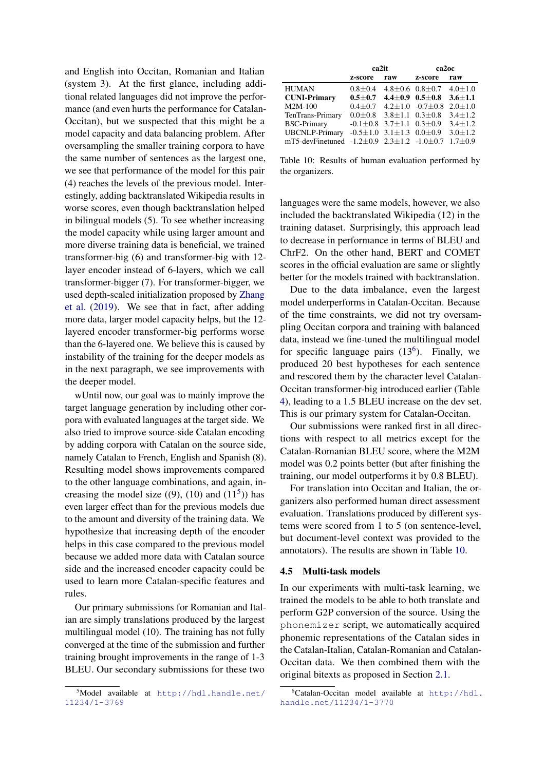and English into Occitan, Romanian and Italian (system 3). At the first glance, including additional related languages did not improve the performance (and even hurts the performance for Catalan-Occitan), but we suspected that this might be a model capacity and data balancing problem. After oversampling the smaller training corpora to have the same number of sentences as the largest one, we see that performance of the model for this pair (4) reaches the levels of the previous model. Interestingly, adding backtranslated Wikipedia results in worse scores, even though backtranslation helped in bilingual models (5). To see whether increasing the model capacity while using larger amount and more diverse training data is beneficial, we trained transformer-big (6) and transformer-big with 12 layer encoder instead of 6-layers, which we call transformer-bigger (7). For transformer-bigger, we used depth-scaled initialization proposed by [Zhang](#page-7-17) [et al.](#page-7-17) [\(2019\)](#page-7-17). We see that in fact, after adding more data, larger model capacity helps, but the 12 layered encoder transformer-big performs worse than the 6-layered one. We believe this is caused by instability of the training for the deeper models as in the next paragraph, we see improvements with the deeper model.

wUntil now, our goal was to mainly improve the target language generation by including other corpora with evaluated languages at the target side. We also tried to improve source-side Catalan encoding by adding corpora with Catalan on the source side, namely Catalan to French, English and Spanish (8). Resulting model shows improvements compared to the other language combinations, and again, increasing the model size  $((9), (10)$  and  $(11<sup>5</sup>))$  $(11<sup>5</sup>))$  $(11<sup>5</sup>))$  has even larger effect than for the previous models due to the amount and diversity of the training data. We hypothesize that increasing depth of the encoder helps in this case compared to the previous model because we added more data with Catalan source side and the increased encoder capacity could be used to learn more Catalan-specific features and rules.

Our primary submissions for Romanian and Italian are simply translations produced by the largest multilingual model (10). The training has not fully converged at the time of the submission and further training brought improvements in the range of 1-3 BLEU. Our secondary submissions for these two

<span id="page-5-2"></span>

|                                                                            | ca <sub>2it</sub>                          |     | ca2oc                                                    |             |  |
|----------------------------------------------------------------------------|--------------------------------------------|-----|----------------------------------------------------------|-------------|--|
|                                                                            | z-score                                    | raw | z-score                                                  | raw         |  |
| <b>HUMAN</b>                                                               | $0.8 \pm 0.4$                              |     | $4.8 \pm 0.6$ 0.8 $\pm$ 0.7 $4.0 \pm 1.0$                |             |  |
| <b>CUNI-Primary</b>                                                        | $0.5{\pm}0.7$                              |     | $4.4 \pm 0.9$ $0.5 \pm 0.8$ $3.6 \pm 1.1$                |             |  |
| $M2M-100$                                                                  |                                            |     | $0.4 \pm 0.7$ $4.2 \pm 1.0$ $-0.7 \pm 0.8$               | $2.0 + 1.0$ |  |
| TenTrans-Primary                                                           |                                            |     | $0.0 \pm 0.8$ 3.8 $\pm$ 1.1 0.3 $\pm$ 0.8                | $3.4 + 1.2$ |  |
| <b>BSC-Primary</b>                                                         |                                            |     | $-0.1 \pm 0.8$ 3.7 $\pm$ 1.1 0.3 $\pm$ 0.9 3.4 $\pm$ 1.2 |             |  |
| <b>UBCNLP-Primary</b>                                                      | $-0.5 \pm 1.0$ 3.1 $\pm$ 1.3 0.0 $\pm$ 0.9 |     |                                                          | $3.0 + 1.2$ |  |
| mT5-devFinetuned $-1.2 \pm 0.9$ $2.3 \pm 1.2$ $-1.0 \pm 0.7$ $1.7 \pm 0.9$ |                                            |     |                                                          |             |  |

Table 10: Results of human evaluation performed by the organizers.

languages were the same models, however, we also included the backtranslated Wikipedia (12) in the training dataset. Surprisingly, this approach lead to decrease in performance in terms of BLEU and ChrF2. On the other hand, BERT and COMET scores in the official evaluation are same or slightly better for the models trained with backtranslation.

Due to the data imbalance, even the largest model underperforms in Catalan-Occitan. Because of the time constraints, we did not try oversampling Occitan corpora and training with balanced data, instead we fine-tuned the multilingual model for specific language pairs  $(13<sup>6</sup>)$  $(13<sup>6</sup>)$  $(13<sup>6</sup>)$ . Finally, we produced 20 best hypotheses for each sentence and rescored them by the character level Catalan-Occitan transformer-big introduced earlier (Table [4\)](#page-3-0), leading to a 1.5 BLEU increase on the dev set. This is our primary system for Catalan-Occitan.

Our submissions were ranked first in all directions with respect to all metrics except for the Catalan-Romanian BLEU score, where the M2M model was 0.2 points better (but after finishing the training, our model outperforms it by 0.8 BLEU).

For translation into Occitan and Italian, the organizers also performed human direct assessment evaluation. Translations produced by different systems were scored from 1 to 5 (on sentence-level, but document-level context was provided to the annotators). The results are shown in Table [10.](#page-5-2)

#### 4.5 Multi-task models

In our experiments with multi-task learning, we trained the models to be able to both translate and perform G2P conversion of the source. Using the phonemizer script, we automatically acquired phonemic representations of the Catalan sides in the Catalan-Italian, Catalan-Romanian and Catalan-Occitan data. We then combined them with the original bitexts as proposed in Section [2.1.](#page-0-0)

<span id="page-5-0"></span><sup>5</sup>Model available at [http://hdl.handle.net/](http://hdl.handle.net/11234/1-3769) [11234/1-3769](http://hdl.handle.net/11234/1-3769)

<span id="page-5-1"></span> ${}^{6}$ Catalan-Occitan model available at [http://hdl.](http://hdl.handle.net/11234/1-3770) [handle.net/11234/1-3770](http://hdl.handle.net/11234/1-3770)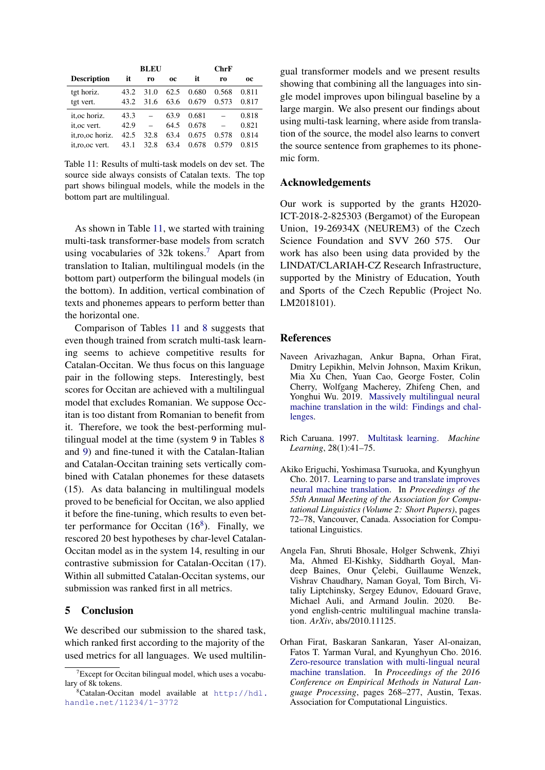<span id="page-6-5"></span>

|                    |      | <b>BLEU</b> |           |       | ChrF  |       |
|--------------------|------|-------------|-----------|-------|-------|-------|
| <b>Description</b> | it   | r0          | <b>OC</b> | it    | ro    | 0C    |
| tgt horiz.         | 43.2 | 31.0        | 62.5      | 0.680 | 0.568 | 0.811 |
| tgt vert.          | 43.2 | 31.6        | 63.6      | 0.679 | 0.573 | 0.817 |
| it.oc horiz.       | 43.3 |             | 63.9      | 0.681 |       | 0.818 |
| it.oc vert.        | 42.9 |             | 64.5      | 0.678 |       | 0.821 |
| it.ro.oc horiz.    | 42.5 | 32.8        | 63.4      | 0.675 | 0.578 | 0.814 |
| it.ro.oc vert.     | 43.1 | 32.8        | 63.4      | 0.678 | 0.579 | 0.815 |

Table 11: Results of multi-task models on dev set. The source side always consists of Catalan texts. The top part shows bilingual models, while the models in the bottom part are multilingual.

As shown in Table [11,](#page-6-5) we started with training multi-task transformer-base models from scratch using vocabularies of  $32k$  tokens.<sup>[7](#page-6-6)</sup> Apart from translation to Italian, multilingual models (in the bottom part) outperform the bilingual models (in the bottom). In addition, vertical combination of texts and phonemes appears to perform better than the horizontal one.

Comparison of Tables [11](#page-6-5) and [8](#page-4-0) suggests that even though trained from scratch multi-task learning seems to achieve competitive results for Catalan-Occitan. We thus focus on this language pair in the following steps. Interestingly, best scores for Occitan are achieved with a multilingual model that excludes Romanian. We suppose Occitan is too distant from Romanian to benefit from it. Therefore, we took the best-performing multilingual model at the time (system 9 in Tables [8](#page-4-0) and [9\)](#page-4-1) and fine-tuned it with the Catalan-Italian and Catalan-Occitan training sets vertically combined with Catalan phonemes for these datasets (15). As data balancing in multilingual models proved to be beneficial for Occitan, we also applied it before the fine-tuning, which results to even better performance for Occitan  $(16^8)$  $(16^8)$  $(16^8)$ . Finally, we rescored 20 best hypotheses by char-level Catalan-Occitan model as in the system 14, resulting in our contrastive submission for Catalan-Occitan (17). Within all submitted Catalan-Occitan systems, our submission was ranked first in all metrics.

## 5 Conclusion

We described our submission to the shared task, which ranked first according to the majority of the used metrics for all languages. We used multilingual transformer models and we present results showing that combining all the languages into single model improves upon bilingual baseline by a large margin. We also present our findings about using multi-task learning, where aside from translation of the source, the model also learns to convert the source sentence from graphemes to its phonemic form.

#### Acknowledgements

Our work is supported by the grants H2020- ICT-2018-2-825303 (Bergamot) of the European Union, 19-26934X (NEUREM3) of the Czech Science Foundation and SVV 260 575. Our work has also been using data provided by the LINDAT/CLARIAH-CZ Research Infrastructure, supported by the Ministry of Education, Youth and Sports of the Czech Republic (Project No. LM2018101).

### **References**

- <span id="page-6-2"></span>Naveen Arivazhagan, Ankur Bapna, Orhan Firat, Dmitry Lepikhin, Melvin Johnson, Maxim Krikun, Mia Xu Chen, Yuan Cao, George Foster, Colin Cherry, Wolfgang Macherey, Zhifeng Chen, and Yonghui Wu. 2019. [Massively multilingual neural](http://arxiv.org/abs/1907.05019) [machine translation in the wild: Findings and chal](http://arxiv.org/abs/1907.05019)[lenges.](http://arxiv.org/abs/1907.05019)
- <span id="page-6-3"></span>Rich Caruana. 1997. [Multitask learning.](https://doi.org/10.1023/A:1007379606734) *Machine Learning*, 28(1):41–75.
- <span id="page-6-4"></span>Akiko Eriguchi, Yoshimasa Tsuruoka, and Kyunghyun Cho. 2017. [Learning to parse and translate improves](https://doi.org/10.18653/v1/P17-2012) [neural machine translation.](https://doi.org/10.18653/v1/P17-2012) In *Proceedings of the 55th Annual Meeting of the Association for Computational Linguistics (Volume 2: Short Papers)*, pages 72–78, Vancouver, Canada. Association for Computational Linguistics.
- <span id="page-6-0"></span>Angela Fan, Shruti Bhosale, Holger Schwenk, Zhiyi Ma, Ahmed El-Kishky, Siddharth Goyal, Mandeep Baines, Onur Çelebi, Guillaume Wenzek, Vishrav Chaudhary, Naman Goyal, Tom Birch, Vitaliy Liptchinsky, Sergey Edunov, Edouard Grave, Michael Auli, and Armand Joulin. 2020. Beyond english-centric multilingual machine translation. *ArXiv*, abs/2010.11125.
- <span id="page-6-1"></span>Orhan Firat, Baskaran Sankaran, Yaser Al-onaizan, Fatos T. Yarman Vural, and Kyunghyun Cho. 2016. [Zero-resource translation with multi-lingual neural](https://doi.org/10.18653/v1/D16-1026) [machine translation.](https://doi.org/10.18653/v1/D16-1026) In *Proceedings of the 2016 Conference on Empirical Methods in Natural Language Processing*, pages 268–277, Austin, Texas. Association for Computational Linguistics.

<span id="page-6-6"></span> $T$ Except for Occitan bilingual model, which uses a vocabulary of 8k tokens.

<span id="page-6-7"></span> ${}^8$ Catalan-Occitan model available at [http://hdl.](http://hdl.handle.net/11234/1-3772) [handle.net/11234/1-3772](http://hdl.handle.net/11234/1-3772)